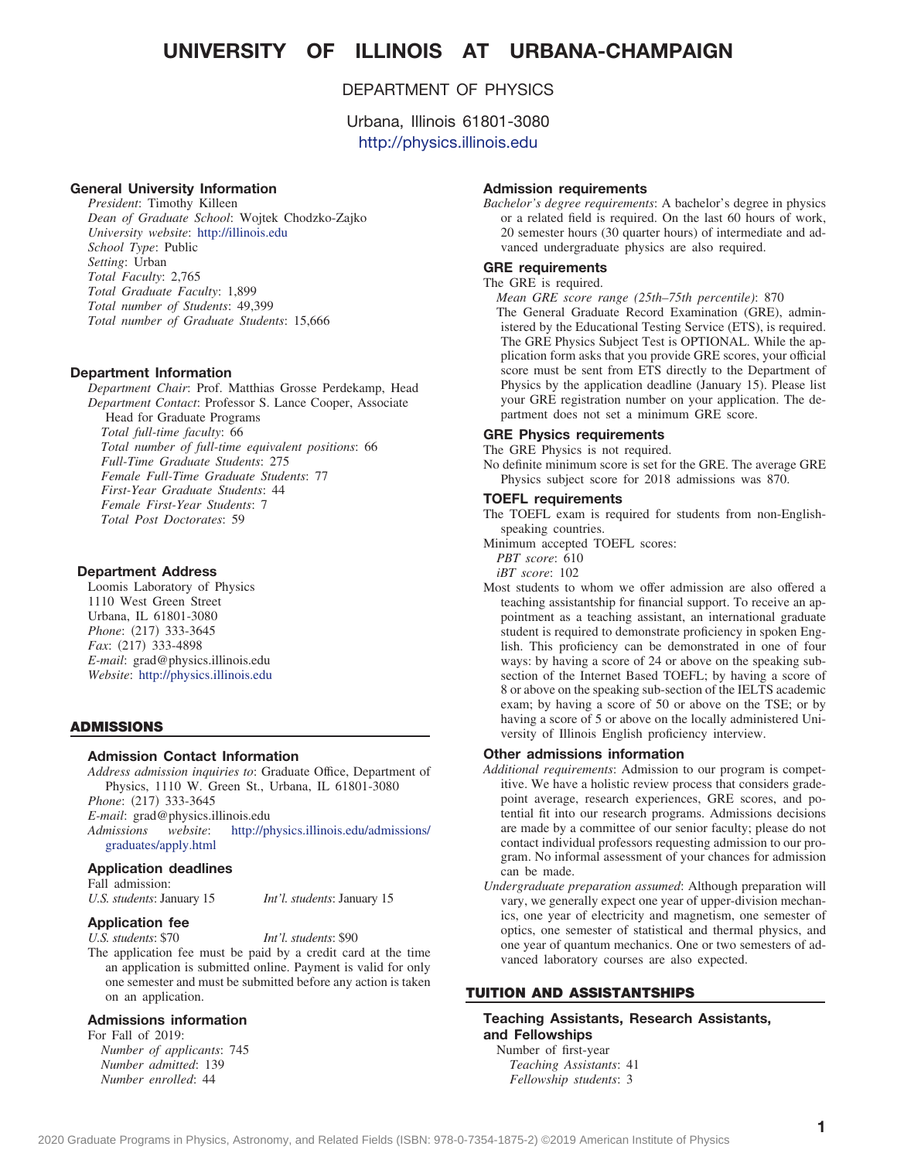# **UNIVERSITY OF ILLINOIS AT URBANA-CHAMPAIGN**

## DEPARTMENT OF PHYSICS

Urbana, Illinois 61801-3080 <http://physics.illinois.edu>

## **General University Information**

*President*: Timothy Killeen *Dean of Graduate School*: Wojtek Chodzko-Zajko *University website*: <http://illinois.edu> *School Type*: Public *Setting*: Urban *Total Faculty*: 2,765 *Total Graduate Faculty*: 1,899 *Total number of Students*: 49,399 *Total number of Graduate Students*: 15,666

### **Department Information**

*Department Chair*: Prof. Matthias Grosse Perdekamp, Head *Department Contact*: Professor S. Lance Cooper, Associate Head for Graduate Programs *Total full-time faculty*: 66 *Total number of full-time equivalent positions*: 66 *Full-Time Graduate Students*: 275 *Female Full-Time Graduate Students*: 77 *First-Year Graduate Students*: 44 *Female First-Year Students*: 7 *Total Post Doctorates*: 59

## **Department Address**

Loomis Laboratory of Physics 1110 West Green Street Urbana, IL 61801-3080 *Phone*: (217) 333-3645 Fax: (217) 333-4898 *E-mail*: grad@physics.illinois.edu *Website*: <http://physics.illinois.edu>

#### **ADMISSIONS**

#### **Admission Contact Information**

*Address admission inquiries to*: Graduate Office, Department of Physics, 1110 W. Green St., Urbana, IL 61801-3080 *Phone*: (217) 333-3645 *E-mail*: grad@physics.illinois.edu

*Admissions website*: [http://physics.illinois.edu/admissions/](http://physics.illinois.edu/admissions/graduates/apply.html) [graduates/apply.html](http://physics.illinois.edu/admissions/graduates/apply.html)

#### **Application deadlines**

Fall admission: *U.S. students*: January 15 *Int'l. students*: January 15

## **Application fee**

*U.S. students*: \$70 *Int'l. students*: \$90 The application fee must be paid by a credit card at the time an application is submitted online. Payment is valid for only one semester and must be submitted before any action is taken on an application.

#### **Admissions information**

For Fall of 2019: *Number of applicants*: 745 *Number admitted*: 139

#### **Admission requirements**

*Bachelor's degree requirements*: A bachelor's degree in physics or a related field is required. On the last 60 hours of work, 20 semester hours (30 quarter hours) of intermediate and advanced undergraduate physics are also required.

## **GRE requirements**

## The GRE is required.

*Mean GRE score range (25th–75th percentile)*: 870 The General Graduate Record Examination (GRE), administered by the Educational Testing Service (ETS), is required. The GRE Physics Subject Test is OPTIONAL. While the application form asks that you provide GRE scores, your official score must be sent from ETS directly to the Department of Physics by the application deadline (January 15). Please list your GRE registration number on your application. The department does not set a minimum GRE score.

#### **GRE Physics requirements**

The GRE Physics is not required.

No definite minimum score is set for the GRE. The average GRE Physics subject score for 2018 admissions was 870.

#### **TOEFL requirements**

The TOEFL exam is required for students from non-Englishspeaking countries.

Minimum accepted TOEFL scores:

*PBT score*: 610

*iBT score*: 102

Most students to whom we offer admission are also offered a teaching assistantship for financial support. To receive an appointment as a teaching assistant, an international graduate student is required to demonstrate proficiency in spoken English. This proficiency can be demonstrated in one of four ways: by having a score of 24 or above on the speaking subsection of the Internet Based TOEFL; by having a score of 8 or above on the speaking sub-section of the IELTS academic exam; by having a score of 50 or above on the TSE; or by having a score of 5 or above on the locally administered University of Illinois English proficiency interview.

#### **Other admissions information**

- *Additional requirements*: Admission to our program is competitive. We have a holistic review process that considers gradepoint average, research experiences, GRE scores, and potential fit into our research programs. Admissions decisions are made by a committee of our senior faculty; please do not contact individual professors requesting admission to our program. No informal assessment of your chances for admission can be made.
- *Undergraduate preparation assumed*: Although preparation will vary, we generally expect one year of upper-division mechanics, one year of electricity and magnetism, one semester of optics, one semester of statistical and thermal physics, and one year of quantum mechanics. One or two semesters of advanced laboratory courses are also expected.

## **TUITION AND ASSISTANTSHIPS**

**Teaching Assistants, Research Assistants, and Fellowships** Number of first-year

*Teaching Assistants*: 41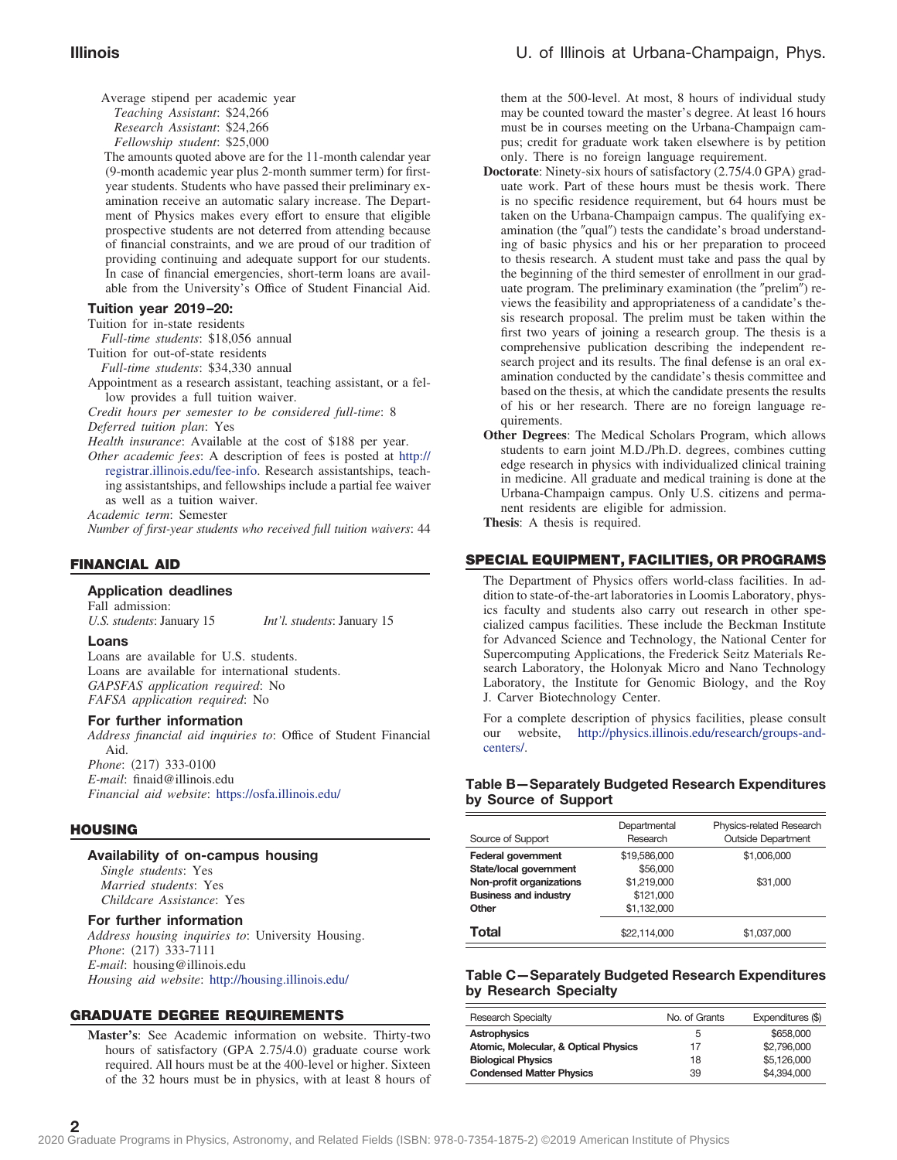Average stipend per academic year *Teaching Assistant*: \$24,266 *Research Assistant*: \$24,266 *Fellowship student*: \$25,000

The amounts quoted above are for the 11-month calendar year (9-month academic year plus 2-month summer term) for firstyear students. Students who have passed their preliminary examination receive an automatic salary increase. The Department of Physics makes every effort to ensure that eligible prospective students are not deterred from attending because of financial constraints, and we are proud of our tradition of providing continuing and adequate support for our students. In case of financial emergencies, short-term loans are available from the University's Office of Student Financial Aid.

#### **Tuition year 2019–20:**

Tuition for in-state residents

*Full-time students*: \$18,056 annual

Tuition for out-of-state residents *Full-time students*: \$34,330 annual

Appointment as a research assistant, teaching assistant, or a fellow provides a full tuition waiver.

*Credit hours per semester to be considered full-time*: 8 *Deferred tuition plan*: Yes

*Health insurance*: Available at the cost of \$188 per year.

*Other academic fees*: A description of fees is posted at [http://](http://registrar.illinois.edu/fee-info) [registrar.illinois.edu/fee-info.](http://registrar.illinois.edu/fee-info) Research assistantships, teaching assistantships, and fellowships include a partial fee waiver as well as a tuition waiver.

*Academic term*: Semester

*Number of first-year students who received full tuition waivers*: 44

### **FINANCIAL AID**

#### **Application deadlines**

Fall admission: *U.S. students*: January 15 *Int'l. students*: January 15

#### **Loans**

Loans are available for U.S. students. Loans are available for international students. *GAPSFAS application required*: No *FAFSA application required*: No

#### **For further information**

*Address financial aid inquiries to*: Office of Student Financial Aid.

*Phone*: (217) 333-0100 *E-mail*: finaid@illinois.edu *Financial aid website*: <https://osfa.illinois.edu/>

#### **HOUSING**

## **Availability of on-campus housing**

*Single students*: Yes *Married students*: Yes *Childcare Assistance*: Yes

## **For further information**

*Address housing inquiries to*: University Housing. Phone: (217) 333-7111 *E-mail*: housing@illinois.edu *Housing aid website*: <http://housing.illinois.edu/>

## **GRADUATE DEGREE REQUIREMENTS**

**Master's**: See Academic information on website. Thirty-two hours of satisfactory (GPA 2.75/4.0) graduate course work required. All hours must be at the 400-level or higher. Sixteen of the 32 hours must be in physics, with at least 8 hours of

them at the 500-level. At most, 8 hours of individual study may be counted toward the master's degree. At least 16 hours must be in courses meeting on the Urbana-Champaign campus; credit for graduate work taken elsewhere is by petition only. There is no foreign language requirement.

- **Doctorate**: Ninety-six hours of satisfactory (2.75/4.0 GPA) graduate work. Part of these hours must be thesis work. There is no specific residence requirement, but 64 hours must be taken on the Urbana-Champaign campus. The qualifying examination (the "qual") tests the candidate's broad understanding of basic physics and his or her preparation to proceed to thesis research. A student must take and pass the qual by the beginning of the third semester of enrollment in our graduate program. The preliminary examination (the "prelim") reviews the feasibility and appropriateness of a candidate's thesis research proposal. The prelim must be taken within the first two years of joining a research group. The thesis is a comprehensive publication describing the independent research project and its results. The final defense is an oral examination conducted by the candidate's thesis committee and based on the thesis, at which the candidate presents the results of his or her research. There are no foreign language requirements.
- **Other Degrees**: The Medical Scholars Program, which allows students to earn joint M.D./Ph.D. degrees, combines cutting edge research in physics with individualized clinical training in medicine. All graduate and medical training is done at the Urbana-Champaign campus. Only U.S. citizens and permanent residents are eligible for admission.

**Thesis**: A thesis is required.

### **SPECIAL EQUIPMENT, FACILITIES, OR PROGRAMS**

The Department of Physics offers world-class facilities. In addition to state-of-the-art laboratories in Loomis Laboratory, physics faculty and students also carry out research in other specialized campus facilities. These include the Beckman Institute for Advanced Science and Technology, the National Center for Supercomputing Applications, the Frederick Seitz Materials Research Laboratory, the Holonyak Micro and Nano Technology Laboratory, the Institute for Genomic Biology, and the Roy J. Carver Biotechnology Center.

For a complete description of physics facilities, please consult our website, [http://physics.illinois.edu/research/groups-and](http://physics.illinois.edu/research/groups-and-centers/)[centers/.](http://physics.illinois.edu/research/groups-and-centers/)

### **Table B—Separately Budgeted Research Expenditures by Source of Support**

| Source of Support            | Departmental<br>Research | Physics-related Research<br><b>Outside Department</b> |
|------------------------------|--------------------------|-------------------------------------------------------|
| <b>Federal government</b>    | \$19,586,000             | \$1,006,000                                           |
| State/local government       | \$56,000                 |                                                       |
| Non-profit organizations     | \$1,219,000              | \$31,000                                              |
| <b>Business and industry</b> | \$121,000                |                                                       |
| Other                        | \$1,132,000              |                                                       |
| Total                        | \$22.114.000             | \$1.037.000                                           |

## **Table C—Separately Budgeted Research Expenditures by Research Specialty**

| <b>Research Specialty</b>            | No. of Grants | Expenditures (\$) |
|--------------------------------------|---------------|-------------------|
| Astrophysics                         | 5             | \$658,000         |
| Atomic, Molecular, & Optical Physics | 17            | \$2,796,000       |
| <b>Biological Physics</b>            | 18            | \$5,126,000       |
| <b>Condensed Matter Physics</b>      | 39            | \$4,394,000       |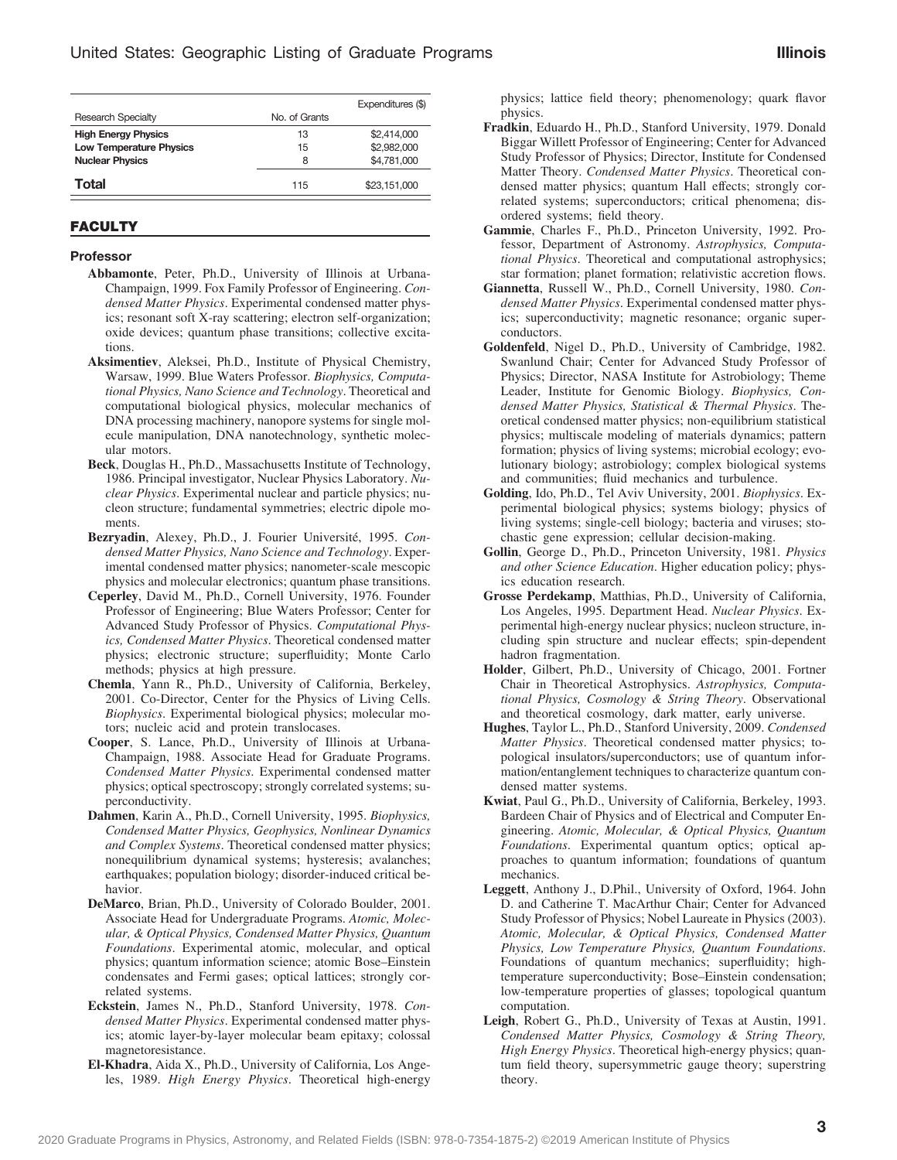|                                |               | Expenditures (\$) |
|--------------------------------|---------------|-------------------|
| <b>Research Specialty</b>      | No. of Grants |                   |
| <b>High Energy Physics</b>     | 13            | \$2,414,000       |
| <b>Low Temperature Physics</b> | 15            | \$2,982,000       |
| <b>Nuclear Physics</b>         | 8             | \$4,781,000       |
| Total                          | 115           | \$23,151,000      |

### **FACULTY**

#### **Professor**

- **Abbamonte**, Peter, Ph.D., University of Illinois at Urbana-Champaign, 1999. Fox Family Professor of Engineering. *Condensed Matter Physics*. Experimental condensed matter physics; resonant soft X-ray scattering; electron self-organization; oxide devices; quantum phase transitions; collective excitations.
- **Aksimentiev**, Aleksei, Ph.D., Institute of Physical Chemistry, Warsaw, 1999. Blue Waters Professor. *Biophysics, Computational Physics, Nano Science and Technology*. Theoretical and computational biological physics, molecular mechanics of DNA processing machinery, nanopore systems for single molecule manipulation, DNA nanotechnology, synthetic molecular motors.
- **Beck**, Douglas H., Ph.D., Massachusetts Institute of Technology, 1986. Principal investigator, Nuclear Physics Laboratory. *Nuclear Physics*. Experimental nuclear and particle physics; nucleon structure; fundamental symmetries; electric dipole moments.
- **Bezryadin**, Alexey, Ph.D., J. Fourier Université, 1995. *Condensed Matter Physics, Nano Science and Technology*. Experimental condensed matter physics; nanometer-scale mescopic physics and molecular electronics; quantum phase transitions.
- **Ceperley**, David M., Ph.D., Cornell University, 1976. Founder Professor of Engineering; Blue Waters Professor; Center for Advanced Study Professor of Physics. *Computational Physics, Condensed Matter Physics*. Theoretical condensed matter physics; electronic structure; superfluidity; Monte Carlo methods; physics at high pressure.
- **Chemla**, Yann R., Ph.D., University of California, Berkeley, 2001. Co-Director, Center for the Physics of Living Cells. *Biophysics*. Experimental biological physics; molecular motors; nucleic acid and protein translocases.
- **Cooper**, S. Lance, Ph.D., University of Illinois at Urbana-Champaign, 1988. Associate Head for Graduate Programs. *Condensed Matter Physics*. Experimental condensed matter physics; optical spectroscopy; strongly correlated systems; superconductivity.
- **Dahmen**, Karin A., Ph.D., Cornell University, 1995. *Biophysics, Condensed Matter Physics, Geophysics, Nonlinear Dynamics and Complex Systems*. Theoretical condensed matter physics; nonequilibrium dynamical systems; hysteresis; avalanches; earthquakes; population biology; disorder-induced critical behavior.
- **DeMarco**, Brian, Ph.D., University of Colorado Boulder, 2001. Associate Head for Undergraduate Programs. *Atomic, Molecular, & Optical Physics, Condensed Matter Physics, Quantum Foundations*. Experimental atomic, molecular, and optical physics; quantum information science; atomic Bose–Einstein condensates and Fermi gases; optical lattices; strongly correlated systems.
- **Eckstein**, James N., Ph.D., Stanford University, 1978. *Condensed Matter Physics*. Experimental condensed matter physics; atomic layer-by-layer molecular beam epitaxy; colossal magnetoresistance.
- **El-Khadra**, Aida X., Ph.D., University of California, Los Angeles, 1989. *High Energy Physics*. Theoretical high-energy

physics; lattice field theory; phenomenology; quark flavor physics.

- **Fradkin**, Eduardo H., Ph.D., Stanford University, 1979. Donald Biggar Willett Professor of Engineering; Center for Advanced Study Professor of Physics; Director, Institute for Condensed Matter Theory. *Condensed Matter Physics*. Theoretical condensed matter physics; quantum Hall effects; strongly correlated systems; superconductors; critical phenomena; disordered systems; field theory.
- **Gammie**, Charles F., Ph.D., Princeton University, 1992. Professor, Department of Astronomy. *Astrophysics, Computational Physics*. Theoretical and computational astrophysics; star formation; planet formation; relativistic accretion flows.
- **Giannetta**, Russell W., Ph.D., Cornell University, 1980. *Condensed Matter Physics*. Experimental condensed matter physics; superconductivity; magnetic resonance; organic superconductors.
- **Goldenfeld**, Nigel D., Ph.D., University of Cambridge, 1982. Swanlund Chair; Center for Advanced Study Professor of Physics; Director, NASA Institute for Astrobiology; Theme Leader, Institute for Genomic Biology. *Biophysics, Condensed Matter Physics, Statistical & Thermal Physics*. Theoretical condensed matter physics; non-equilibrium statistical physics; multiscale modeling of materials dynamics; pattern formation; physics of living systems; microbial ecology; evolutionary biology; astrobiology; complex biological systems and communities; fluid mechanics and turbulence.
- **Golding**, Ido, Ph.D., Tel Aviv University, 2001. *Biophysics*. Experimental biological physics; systems biology; physics of living systems; single-cell biology; bacteria and viruses; stochastic gene expression; cellular decision-making.
- **Gollin**, George D., Ph.D., Princeton University, 1981. *Physics and other Science Education*. Higher education policy; physics education research.
- **Grosse Perdekamp**, Matthias, Ph.D., University of California, Los Angeles, 1995. Department Head. *Nuclear Physics*. Experimental high-energy nuclear physics; nucleon structure, including spin structure and nuclear effects; spin-dependent hadron fragmentation.
- **Holder**, Gilbert, Ph.D., University of Chicago, 2001. Fortner Chair in Theoretical Astrophysics. *Astrophysics, Computational Physics, Cosmology & String Theory*. Observational and theoretical cosmology, dark matter, early universe.
- **Hughes**, Taylor L., Ph.D., Stanford University, 2009. *Condensed Matter Physics*. Theoretical condensed matter physics; topological insulators/superconductors; use of quantum information/entanglement techniques to characterize quantum condensed matter systems.
- **Kwiat**, Paul G., Ph.D., University of California, Berkeley, 1993. Bardeen Chair of Physics and of Electrical and Computer Engineering. *Atomic, Molecular, & Optical Physics, Quantum Foundations*. Experimental quantum optics; optical approaches to quantum information; foundations of quantum mechanics.
- **Leggett**, Anthony J., D.Phil., University of Oxford, 1964. John D. and Catherine T. MacArthur Chair; Center for Advanced Study Professor of Physics; Nobel Laureate in Physics (2003). *Atomic, Molecular, & Optical Physics, Condensed Matter Physics, Low Temperature Physics, Quantum Foundations*. Foundations of quantum mechanics; superfluidity; hightemperature superconductivity; Bose–Einstein condensation; low-temperature properties of glasses; topological quantum computation.
- **Leigh**, Robert G., Ph.D., University of Texas at Austin, 1991. *Condensed Matter Physics, Cosmology & String Theory, High Energy Physics*. Theoretical high-energy physics; quantum field theory, supersymmetric gauge theory; superstring theory.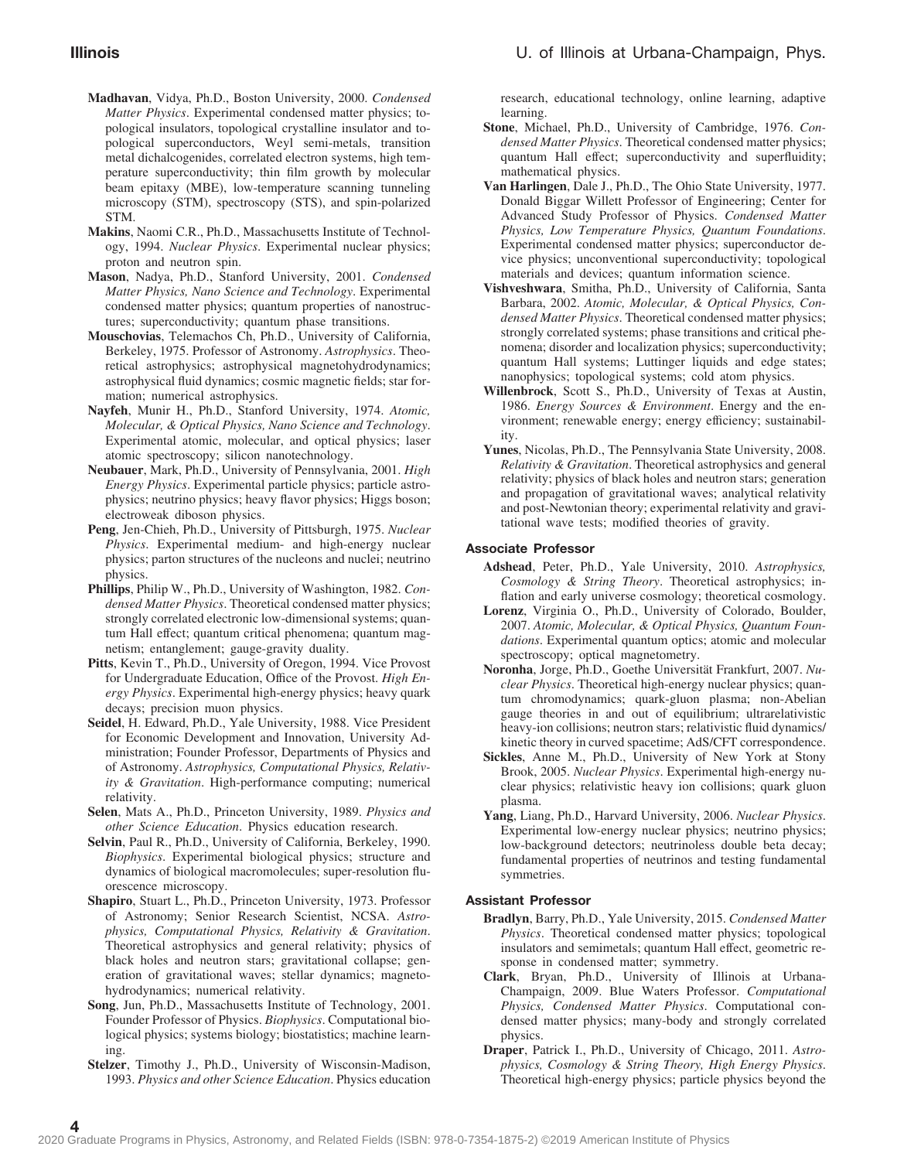- **Madhavan**, Vidya, Ph.D., Boston University, 2000. *Condensed Matter Physics*. Experimental condensed matter physics; topological insulators, topological crystalline insulator and topological superconductors, Weyl semi-metals, transition metal dichalcogenides, correlated electron systems, high temperature superconductivity; thin film growth by molecular beam epitaxy (MBE), low-temperature scanning tunneling microscopy (STM), spectroscopy (STS), and spin-polarized STM.
- **Makins**, Naomi C.R., Ph.D., Massachusetts Institute of Technology, 1994. *Nuclear Physics*. Experimental nuclear physics; proton and neutron spin.
- **Mason**, Nadya, Ph.D., Stanford University, 2001. *Condensed Matter Physics, Nano Science and Technology*. Experimental condensed matter physics; quantum properties of nanostructures; superconductivity; quantum phase transitions.
- **Mouschovias**, Telemachos Ch, Ph.D., University of California, Berkeley, 1975. Professor of Astronomy. *Astrophysics*. Theoretical astrophysics; astrophysical magnetohydrodynamics; astrophysical fluid dynamics; cosmic magnetic fields; star formation; numerical astrophysics.
- **Nayfeh**, Munir H., Ph.D., Stanford University, 1974. *Atomic, Molecular, & Optical Physics, Nano Science and Technology*. Experimental atomic, molecular, and optical physics; laser atomic spectroscopy; silicon nanotechnology.
- **Neubauer**, Mark, Ph.D., University of Pennsylvania, 2001. *High Energy Physics*. Experimental particle physics; particle astrophysics; neutrino physics; heavy flavor physics; Higgs boson; electroweak diboson physics.
- **Peng**, Jen-Chieh, Ph.D., University of Pittsburgh, 1975. *Nuclear Physics*. Experimental medium- and high-energy nuclear physics; parton structures of the nucleons and nuclei; neutrino physics.
- **Phillips**, Philip W., Ph.D., University of Washington, 1982. *Condensed Matter Physics*. Theoretical condensed matter physics; strongly correlated electronic low-dimensional systems; quantum Hall effect; quantum critical phenomena; quantum magnetism; entanglement; gauge-gravity duality.
- **Pitts**, Kevin T., Ph.D., University of Oregon, 1994. Vice Provost for Undergraduate Education, Office of the Provost. *High Energy Physics*. Experimental high-energy physics; heavy quark decays; precision muon physics.
- **Seidel**, H. Edward, Ph.D., Yale University, 1988. Vice President for Economic Development and Innovation, University Administration; Founder Professor, Departments of Physics and of Astronomy. *Astrophysics, Computational Physics, Relativity & Gravitation*. High-performance computing; numerical relativity.
- **Selen**, Mats A., Ph.D., Princeton University, 1989. *Physics and other Science Education*. Physics education research.
- **Selvin**, Paul R., Ph.D., University of California, Berkeley, 1990. *Biophysics*. Experimental biological physics; structure and dynamics of biological macromolecules; super-resolution fluorescence microscopy.
- **Shapiro**, Stuart L., Ph.D., Princeton University, 1973. Professor of Astronomy; Senior Research Scientist, NCSA. *Astrophysics, Computational Physics, Relativity & Gravitation*. Theoretical astrophysics and general relativity; physics of black holes and neutron stars; gravitational collapse; generation of gravitational waves; stellar dynamics; magnetohydrodynamics; numerical relativity.
- **Song**, Jun, Ph.D., Massachusetts Institute of Technology, 2001. Founder Professor of Physics. *Biophysics*. Computational biological physics; systems biology; biostatistics; machine learning.
- **Stelzer**, Timothy J., Ph.D., University of Wisconsin-Madison, 1993. *Physics and other Science Education*. Physics education

research, educational technology, online learning, adaptive learning.

- **Stone**, Michael, Ph.D., University of Cambridge, 1976. *Condensed Matter Physics*. Theoretical condensed matter physics; quantum Hall effect; superconductivity and superfluidity; mathematical physics.
- **Van Harlingen**, Dale J., Ph.D., The Ohio State University, 1977. Donald Biggar Willett Professor of Engineering; Center for Advanced Study Professor of Physics. *Condensed Matter Physics, Low Temperature Physics, Quantum Foundations*. Experimental condensed matter physics; superconductor device physics; unconventional superconductivity; topological materials and devices; quantum information science.
- **Vishveshwara**, Smitha, Ph.D., University of California, Santa Barbara, 2002. *Atomic, Molecular, & Optical Physics, Condensed Matter Physics*. Theoretical condensed matter physics; strongly correlated systems; phase transitions and critical phenomena; disorder and localization physics; superconductivity; quantum Hall systems; Luttinger liquids and edge states; nanophysics; topological systems; cold atom physics.
- **Willenbrock**, Scott S., Ph.D., University of Texas at Austin, 1986. *Energy Sources & Environment*. Energy and the environment; renewable energy; energy efficiency; sustainability.
- **Yunes**, Nicolas, Ph.D., The Pennsylvania State University, 2008. *Relativity & Gravitation*. Theoretical astrophysics and general relativity; physics of black holes and neutron stars; generation and propagation of gravitational waves; analytical relativity and post-Newtonian theory; experimental relativity and gravitational wave tests; modified theories of gravity.

## **Associate Professor**

- **Adshead**, Peter, Ph.D., Yale University, 2010. *Astrophysics, Cosmology & String Theory*. Theoretical astrophysics; inflation and early universe cosmology; theoretical cosmology.
- **Lorenz**, Virginia O., Ph.D., University of Colorado, Boulder, 2007. *Atomic, Molecular, & Optical Physics, Quantum Foundations*. Experimental quantum optics; atomic and molecular spectroscopy; optical magnetometry.
- **Noronha**, Jorge, Ph.D., Goethe Universität Frankfurt, 2007. *Nuclear Physics*. Theoretical high-energy nuclear physics; quantum chromodynamics; quark-gluon plasma; non-Abelian gauge theories in and out of equilibrium; ultrarelativistic heavy-ion collisions; neutron stars; relativistic fluid dynamics/ kinetic theory in curved spacetime; AdS/CFT correspondence.
- **Sickles**, Anne M., Ph.D., University of New York at Stony Brook, 2005. *Nuclear Physics*. Experimental high-energy nuclear physics; relativistic heavy ion collisions; quark gluon plasma.
- **Yang**, Liang, Ph.D., Harvard University, 2006. *Nuclear Physics*. Experimental low-energy nuclear physics; neutrino physics; low-background detectors; neutrinoless double beta decay; fundamental properties of neutrinos and testing fundamental symmetries.

## **Assistant Professor**

- **Bradlyn**, Barry, Ph.D., Yale University, 2015. *Condensed Matter Physics*. Theoretical condensed matter physics; topological insulators and semimetals; quantum Hall effect, geometric response in condensed matter; symmetry.
- **Clark**, Bryan, Ph.D., University of Illinois at Urbana-Champaign, 2009. Blue Waters Professor. *Computational Physics, Condensed Matter Physics*. Computational condensed matter physics; many-body and strongly correlated physics.
- **Draper**, Patrick I., Ph.D., University of Chicago, 2011. *Astrophysics, Cosmology & String Theory, High Energy Physics*. Theoretical high-energy physics; particle physics beyond the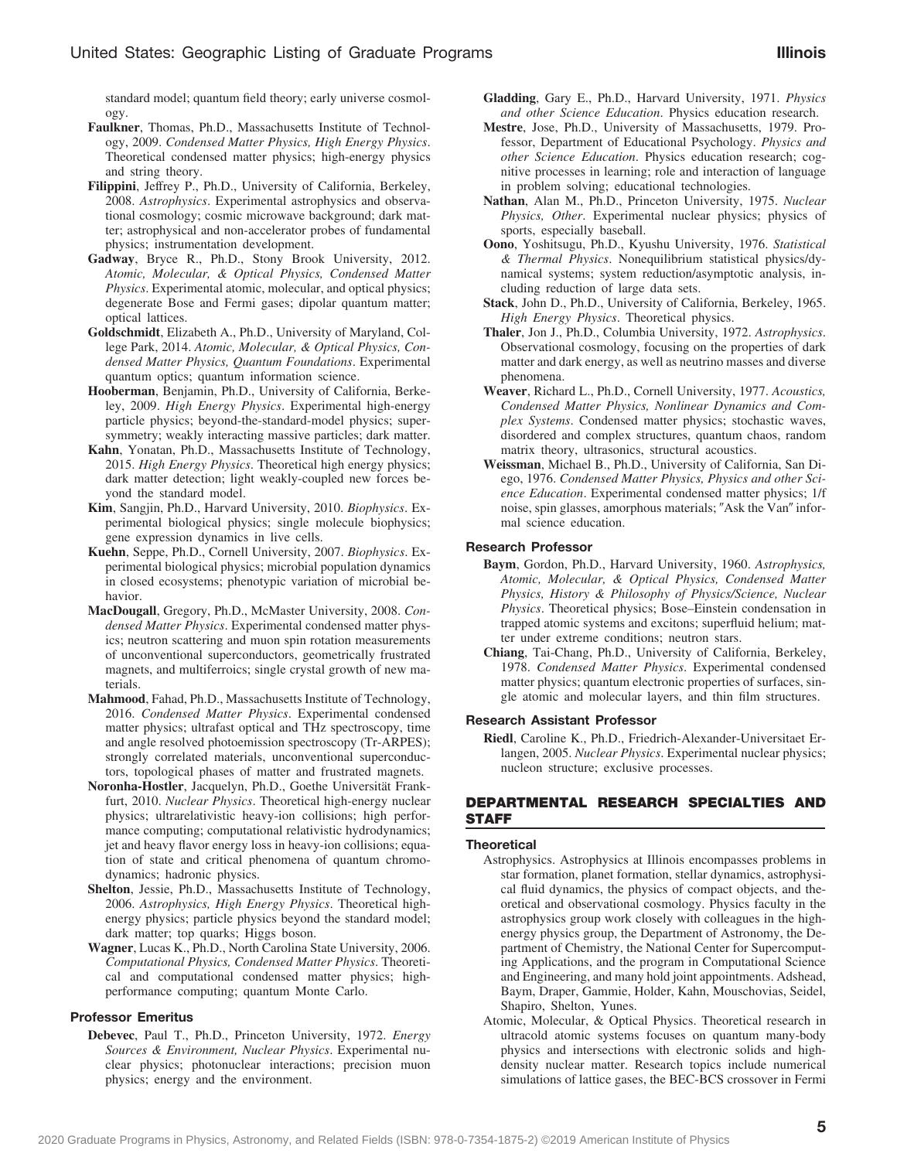standard model; quantum field theory; early universe cosmology.

- **Faulkner**, Thomas, Ph.D., Massachusetts Institute of Technology, 2009. *Condensed Matter Physics, High Energy Physics*. Theoretical condensed matter physics; high-energy physics and string theory.
- **Filippini**, Jeffrey P., Ph.D., University of California, Berkeley, 2008. *Astrophysics*. Experimental astrophysics and observational cosmology; cosmic microwave background; dark matter; astrophysical and non-accelerator probes of fundamental physics; instrumentation development.
- **Gadway**, Bryce R., Ph.D., Stony Brook University, 2012. *Atomic, Molecular, & Optical Physics, Condensed Matter Physics*. Experimental atomic, molecular, and optical physics; degenerate Bose and Fermi gases; dipolar quantum matter; optical lattices.
- **Goldschmidt**, Elizabeth A., Ph.D., University of Maryland, College Park, 2014. *Atomic, Molecular, & Optical Physics, Condensed Matter Physics, Quantum Foundations*. Experimental quantum optics; quantum information science.
- **Hooberman**, Benjamin, Ph.D., University of California, Berkeley, 2009. *High Energy Physics*. Experimental high-energy particle physics; beyond-the-standard-model physics; supersymmetry; weakly interacting massive particles; dark matter.
- **Kahn**, Yonatan, Ph.D., Massachusetts Institute of Technology, 2015. *High Energy Physics*. Theoretical high energy physics; dark matter detection; light weakly-coupled new forces beyond the standard model.
- **Kim**, Sangjin, Ph.D., Harvard University, 2010. *Biophysics*. Experimental biological physics; single molecule biophysics; gene expression dynamics in live cells.
- **Kuehn**, Seppe, Ph.D., Cornell University, 2007. *Biophysics*. Experimental biological physics; microbial population dynamics in closed ecosystems; phenotypic variation of microbial behavior.
- **MacDougall**, Gregory, Ph.D., McMaster University, 2008. *Condensed Matter Physics*. Experimental condensed matter physics; neutron scattering and muon spin rotation measurements of unconventional superconductors, geometrically frustrated magnets, and multiferroics; single crystal growth of new materials.
- **Mahmood**, Fahad, Ph.D., Massachusetts Institute of Technology, 2016. *Condensed Matter Physics*. Experimental condensed matter physics; ultrafast optical and THz spectroscopy, time and angle resolved photoemission spectroscopy (Tr-ARPES); strongly correlated materials, unconventional superconductors, topological phases of matter and frustrated magnets.
- **Noronha-Hostler**, Jacquelyn, Ph.D., Goethe Universität Frankfurt, 2010. *Nuclear Physics*. Theoretical high-energy nuclear physics; ultrarelativistic heavy-ion collisions; high performance computing; computational relativistic hydrodynamics; jet and heavy flavor energy loss in heavy-ion collisions; equation of state and critical phenomena of quantum chromodynamics; hadronic physics.
- **Shelton**, Jessie, Ph.D., Massachusetts Institute of Technology, 2006. *Astrophysics, High Energy Physics*. Theoretical highenergy physics; particle physics beyond the standard model; dark matter; top quarks; Higgs boson.
- **Wagner**, Lucas K., Ph.D., North Carolina State University, 2006. *Computational Physics, Condensed Matter Physics*. Theoretical and computational condensed matter physics; highperformance computing; quantum Monte Carlo.

#### **Professor Emeritus**

**Debevec**, Paul T., Ph.D., Princeton University, 1972. *Energy Sources & Environment, Nuclear Physics*. Experimental nuclear physics; photonuclear interactions; precision muon physics; energy and the environment.

- **Gladding**, Gary E., Ph.D., Harvard University, 1971. *Physics and other Science Education*. Physics education research.
- **Mestre**, Jose, Ph.D., University of Massachusetts, 1979. Professor, Department of Educational Psychology. *Physics and other Science Education*. Physics education research; cognitive processes in learning; role and interaction of language in problem solving; educational technologies.
- **Nathan**, Alan M., Ph.D., Princeton University, 1975. *Nuclear Physics, Other*. Experimental nuclear physics; physics of sports, especially baseball.
- **Oono**, Yoshitsugu, Ph.D., Kyushu University, 1976. *Statistical & Thermal Physics*. Nonequilibrium statistical physics/dynamical systems; system reduction/asymptotic analysis, including reduction of large data sets.
- **Stack**, John D., Ph.D., University of California, Berkeley, 1965. *High Energy Physics*. Theoretical physics.
- **Thaler**, Jon J., Ph.D., Columbia University, 1972. *Astrophysics*. Observational cosmology, focusing on the properties of dark matter and dark energy, as well as neutrino masses and diverse phenomena.
- **Weaver**, Richard L., Ph.D., Cornell University, 1977. *Acoustics, Condensed Matter Physics, Nonlinear Dynamics and Complex Systems*. Condensed matter physics; stochastic waves, disordered and complex structures, quantum chaos, random matrix theory, ultrasonics, structural acoustics.
- **Weissman**, Michael B., Ph.D., University of California, San Diego, 1976. *Condensed Matter Physics, Physics and other Science Education*. Experimental condensed matter physics; 1/f noise, spin glasses, amorphous materials; "Ask the Van" informal science education.

## **Research Professor**

- **Baym**, Gordon, Ph.D., Harvard University, 1960. *Astrophysics, Atomic, Molecular, & Optical Physics, Condensed Matter Physics, History & Philosophy of Physics/Science, Nuclear Physics*. Theoretical physics; Bose–Einstein condensation in trapped atomic systems and excitons; superfluid helium; matter under extreme conditions; neutron stars.
- **Chiang**, Tai-Chang, Ph.D., University of California, Berkeley, 1978. *Condensed Matter Physics*. Experimental condensed matter physics; quantum electronic properties of surfaces, single atomic and molecular layers, and thin film structures.

#### **Research Assistant Professor**

**Riedl**, Caroline K., Ph.D., Friedrich-Alexander-Universitaet Erlangen, 2005. *Nuclear Physics*. Experimental nuclear physics; nucleon structure; exclusive processes.

## **DEPARTMENTAL RESEARCH SPECIALTIES AND STAFF**

#### **Theoretical**

- Astrophysics. Astrophysics at Illinois encompasses problems in star formation, planet formation, stellar dynamics, astrophysical fluid dynamics, the physics of compact objects, and theoretical and observational cosmology. Physics faculty in the astrophysics group work closely with colleagues in the highenergy physics group, the Department of Astronomy, the Department of Chemistry, the National Center for Supercomputing Applications, and the program in Computational Science and Engineering, and many hold joint appointments. Adshead, Baym, Draper, Gammie, Holder, Kahn, Mouschovias, Seidel, Shapiro, Shelton, Yunes.
- Atomic, Molecular, & Optical Physics. Theoretical research in ultracold atomic systems focuses on quantum many-body physics and intersections with electronic solids and highdensity nuclear matter. Research topics include numerical simulations of lattice gases, the BEC-BCS crossover in Fermi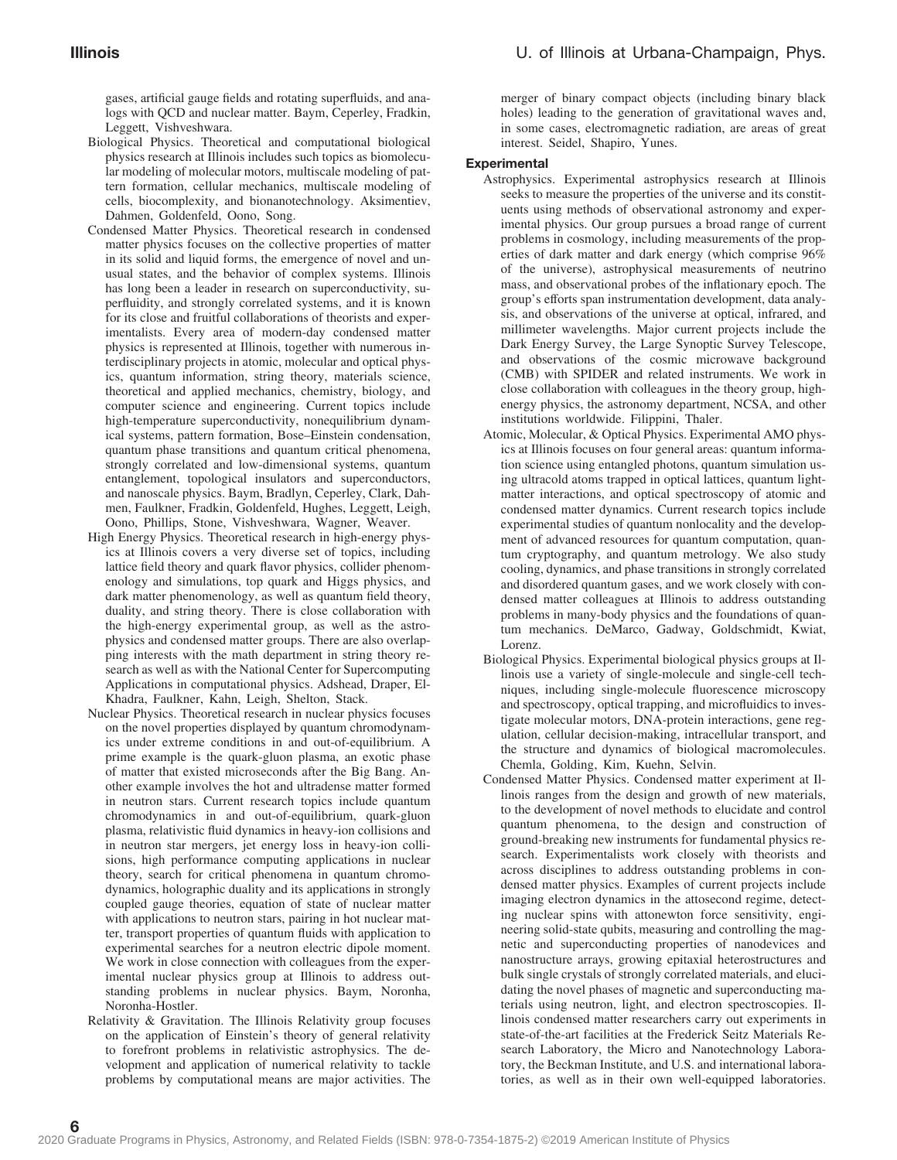gases, artificial gauge fields and rotating superfluids, and analogs with QCD and nuclear matter. Baym, Ceperley, Fradkin, Leggett, Vishveshwara.

- Biological Physics. Theoretical and computational biological physics research at Illinois includes such topics as biomolecular modeling of molecular motors, multiscale modeling of pattern formation, cellular mechanics, multiscale modeling of cells, biocomplexity, and bionanotechnology. Aksimentiev, Dahmen, Goldenfeld, Oono, Song.
- Condensed Matter Physics. Theoretical research in condensed matter physics focuses on the collective properties of matter in its solid and liquid forms, the emergence of novel and unusual states, and the behavior of complex systems. Illinois has long been a leader in research on superconductivity, superfluidity, and strongly correlated systems, and it is known for its close and fruitful collaborations of theorists and experimentalists. Every area of modern-day condensed matter physics is represented at Illinois, together with numerous interdisciplinary projects in atomic, molecular and optical physics, quantum information, string theory, materials science, theoretical and applied mechanics, chemistry, biology, and computer science and engineering. Current topics include high-temperature superconductivity, nonequilibrium dynamical systems, pattern formation, Bose–Einstein condensation, quantum phase transitions and quantum critical phenomena, strongly correlated and low-dimensional systems, quantum entanglement, topological insulators and superconductors, and nanoscale physics. Baym, Bradlyn, Ceperley, Clark, Dahmen, Faulkner, Fradkin, Goldenfeld, Hughes, Leggett, Leigh, Oono, Phillips, Stone, Vishveshwara, Wagner, Weaver.
- High Energy Physics. Theoretical research in high-energy physics at Illinois covers a very diverse set of topics, including lattice field theory and quark flavor physics, collider phenomenology and simulations, top quark and Higgs physics, and dark matter phenomenology, as well as quantum field theory, duality, and string theory. There is close collaboration with the high-energy experimental group, as well as the astrophysics and condensed matter groups. There are also overlapping interests with the math department in string theory research as well as with the National Center for Supercomputing Applications in computational physics. Adshead, Draper, El-Khadra, Faulkner, Kahn, Leigh, Shelton, Stack.
- Nuclear Physics. Theoretical research in nuclear physics focuses on the novel properties displayed by quantum chromodynamics under extreme conditions in and out-of-equilibrium. A prime example is the quark-gluon plasma, an exotic phase of matter that existed microseconds after the Big Bang. Another example involves the hot and ultradense matter formed in neutron stars. Current research topics include quantum chromodynamics in and out-of-equilibrium, quark-gluon plasma, relativistic fluid dynamics in heavy-ion collisions and in neutron star mergers, jet energy loss in heavy-ion collisions, high performance computing applications in nuclear theory, search for critical phenomena in quantum chromodynamics, holographic duality and its applications in strongly coupled gauge theories, equation of state of nuclear matter with applications to neutron stars, pairing in hot nuclear matter, transport properties of quantum fluids with application to experimental searches for a neutron electric dipole moment. We work in close connection with colleagues from the experimental nuclear physics group at Illinois to address outstanding problems in nuclear physics. Baym, Noronha, Noronha-Hostler.
- Relativity & Gravitation. The Illinois Relativity group focuses on the application of Einstein's theory of general relativity to forefront problems in relativistic astrophysics. The development and application of numerical relativity to tackle problems by computational means are major activities. The

merger of binary compact objects (including binary black holes) leading to the generation of gravitational waves and, in some cases, electromagnetic radiation, are areas of great interest. Seidel, Shapiro, Yunes.

## **Experimental**

- Astrophysics. Experimental astrophysics research at Illinois seeks to measure the properties of the universe and its constituents using methods of observational astronomy and experimental physics. Our group pursues a broad range of current problems in cosmology, including measurements of the properties of dark matter and dark energy (which comprise 96% of the universe), astrophysical measurements of neutrino mass, and observational probes of the inflationary epoch. The group's efforts span instrumentation development, data analysis, and observations of the universe at optical, infrared, and millimeter wavelengths. Major current projects include the Dark Energy Survey, the Large Synoptic Survey Telescope, and observations of the cosmic microwave background (CMB) with SPIDER and related instruments. We work in close collaboration with colleagues in the theory group, highenergy physics, the astronomy department, NCSA, and other institutions worldwide. Filippini, Thaler.
- Atomic, Molecular, & Optical Physics. Experimental AMO physics at Illinois focuses on four general areas: quantum information science using entangled photons, quantum simulation using ultracold atoms trapped in optical lattices, quantum lightmatter interactions, and optical spectroscopy of atomic and condensed matter dynamics. Current research topics include experimental studies of quantum nonlocality and the development of advanced resources for quantum computation, quantum cryptography, and quantum metrology. We also study cooling, dynamics, and phase transitions in strongly correlated and disordered quantum gases, and we work closely with condensed matter colleagues at Illinois to address outstanding problems in many-body physics and the foundations of quantum mechanics. DeMarco, Gadway, Goldschmidt, Kwiat, Lorenz.
- Biological Physics. Experimental biological physics groups at Illinois use a variety of single-molecule and single-cell techniques, including single-molecule fluorescence microscopy and spectroscopy, optical trapping, and microfluidics to investigate molecular motors, DNA-protein interactions, gene regulation, cellular decision-making, intracellular transport, and the structure and dynamics of biological macromolecules. Chemla, Golding, Kim, Kuehn, Selvin.
- Condensed Matter Physics. Condensed matter experiment at Illinois ranges from the design and growth of new materials, to the development of novel methods to elucidate and control quantum phenomena, to the design and construction of ground-breaking new instruments for fundamental physics research. Experimentalists work closely with theorists and across disciplines to address outstanding problems in condensed matter physics. Examples of current projects include imaging electron dynamics in the attosecond regime, detecting nuclear spins with attonewton force sensitivity, engineering solid-state qubits, measuring and controlling the magnetic and superconducting properties of nanodevices and nanostructure arrays, growing epitaxial heterostructures and bulk single crystals of strongly correlated materials, and elucidating the novel phases of magnetic and superconducting materials using neutron, light, and electron spectroscopies. Illinois condensed matter researchers carry out experiments in state-of-the-art facilities at the Frederick Seitz Materials Research Laboratory, the Micro and Nanotechnology Laboratory, the Beckman Institute, and U.S. and international laboratories, as well as in their own well-equipped laboratories.